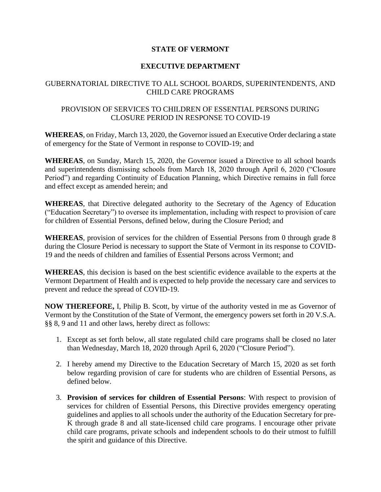## **STATE OF VERMONT**

## **EXECUTIVE DEPARTMENT**

## GUBERNATORIAL DIRECTIVE TO ALL SCHOOL BOARDS, SUPERINTENDENTS, AND CHILD CARE PROGRAMS

## PROVISION OF SERVICES TO CHILDREN OF ESSENTIAL PERSONS DURING CLOSURE PERIOD IN RESPONSE TO COVID-19

**WHEREAS**, on Friday, March 13, 2020, the Governor issued an Executive Order declaring a state of emergency for the State of Vermont in response to COVID-19; and

**WHEREAS**, on Sunday, March 15, 2020, the Governor issued a Directive to all school boards and superintendents dismissing schools from March 18, 2020 through April 6, 2020 ("Closure Period") and regarding Continuity of Education Planning, which Directive remains in full force and effect except as amended herein; and

**WHEREAS**, that Directive delegated authority to the Secretary of the Agency of Education ("Education Secretary") to oversee its implementation, including with respect to provision of care for children of Essential Persons, defined below, during the Closure Period; and

**WHEREAS**, provision of services for the children of Essential Persons from 0 through grade 8 during the Closure Period is necessary to support the State of Vermont in its response to COVID-19 and the needs of children and families of Essential Persons across Vermont; and

**WHEREAS**, this decision is based on the best scientific evidence available to the experts at the Vermont Department of Health and is expected to help provide the necessary care and services to prevent and reduce the spread of COVID-19.

**NOW THEREFORE,** I, Philip B. Scott, by virtue of the authority vested in me as Governor of Vermont by the Constitution of the State of Vermont, the emergency powers set forth in 20 V.S.A. §§ 8, 9 and 11 and other laws, hereby direct as follows:

- 1. Except as set forth below, all state regulated child care programs shall be closed no later than Wednesday, March 18, 2020 through April 6, 2020 ("Closure Period").
- 2. I hereby amend my Directive to the Education Secretary of March 15, 2020 as set forth below regarding provision of care for students who are children of Essential Persons, as defined below.
- 3. **Provision of services for children of Essential Persons**: With respect to provision of services for children of Essential Persons, this Directive provides emergency operating guidelines and applies to all schools under the authority of the Education Secretary for pre-K through grade 8 and all state-licensed child care programs. I encourage other private child care programs, private schools and independent schools to do their utmost to fulfill the spirit and guidance of this Directive.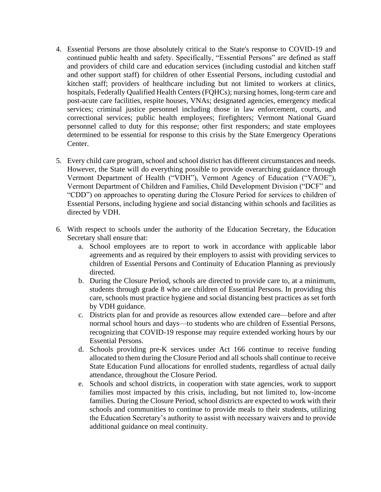- 4. Essential Persons are those absolutely critical to the State's response to COVID-19 and continued public health and safety. Specifically, "Essential Persons" are defined as staff and providers of child care and education services (including custodial and kitchen staff and other support staff) for children of other Essential Persons, including custodial and kitchen staff; providers of healthcare including but not limited to workers at clinics, hospitals, Federally Qualified Health Centers (FQHCs); nursing homes, long-term care and post-acute care facilities, respite houses, VNAs; designated agencies, emergency medical services; criminal justice personnel including those in law enforcement, courts, and correctional services; public health employees; firefighters; Vermont National Guard personnel called to duty for this response; other first responders; and state employees determined to be essential for response to this crisis by the State Emergency Operations Center.
- 5. Every child care program, school and school district has different circumstances and needs. However, the State will do everything possible to provide overarching guidance through Vermont Department of Health ("VDH"), Vermont Agency of Education ("VAOE"), Vermont Department of Children and Families, Child Development Division ("DCF" and "CDD") on approaches to operating during the Closure Period for services to children of Essential Persons, including hygiene and social distancing within schools and facilities as directed by VDH.
- 6. With respect to schools under the authority of the Education Secretary, the Education Secretary shall ensure that:
	- a. School employees are to report to work in accordance with applicable labor agreements and as required by their employers to assist with providing services to children of Essential Persons and Continuity of Education Planning as previously directed.
	- b. During the Closure Period, schools are directed to provide care to, at a minimum, students through grade 8 who are children of Essential Persons. In providing this care, schools must practice hygiene and social distancing best practices as set forth by VDH guidance.
	- c. Districts plan for and provide as resources allow extended care—before and after normal school hours and days—to students who are children of Essential Persons, recognizing that COVID-19 response may require extended working hours by our Essential Persons.
	- d. Schools providing pre-K services under Act 166 continue to receive funding allocated to them during the Closure Period and all schools shall continue to receive State Education Fund allocations for enrolled students, regardless of actual daily attendance, throughout the Closure Period.
	- e. Schools and school districts, in cooperation with state agencies, work to support families most impacted by this crisis, including, but not limited to, low-income families. During the Closure Period, school districts are expected to work with their schools and communities to continue to provide meals to their students, utilizing the Education Secretary's authority to assist with necessary waivers and to provide additional guidance on meal continuity.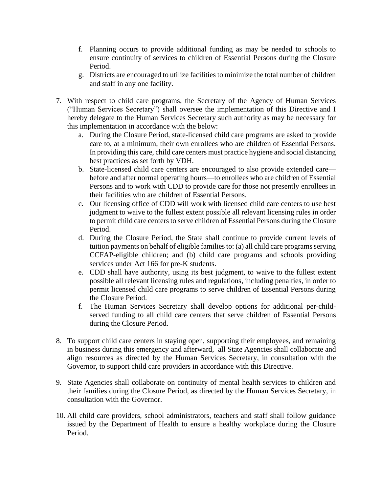- f. Planning occurs to provide additional funding as may be needed to schools to ensure continuity of services to children of Essential Persons during the Closure Period.
- g. Districts are encouraged to utilize facilities to minimize the total number of children and staff in any one facility.
- 7. With respect to child care programs, the Secretary of the Agency of Human Services ("Human Services Secretary") shall oversee the implementation of this Directive and I hereby delegate to the Human Services Secretary such authority as may be necessary for this implementation in accordance with the below:
	- a. During the Closure Period, state-licensed child care programs are asked to provide care to, at a minimum, their own enrollees who are children of Essential Persons. In providing this care, child care centers must practice hygiene and social distancing best practices as set forth by VDH.
	- b. State-licensed child care centers are encouraged to also provide extended care before and after normal operating hours—to enrollees who are children of Essential Persons and to work with CDD to provide care for those not presently enrollees in their facilities who are children of Essential Persons.
	- c. Our licensing office of CDD will work with licensed child care centers to use best judgment to waive to the fullest extent possible all relevant licensing rules in order to permit child care centers to serve children of Essential Persons during the Closure Period.
	- d. During the Closure Period, the State shall continue to provide current levels of tuition payments on behalf of eligible families to: (a) all child care programs serving CCFAP-eligible children; and (b) child care programs and schools providing services under Act 166 for pre-K students.
	- e. CDD shall have authority, using its best judgment, to waive to the fullest extent possible all relevant licensing rules and regulations, including penalties, in order to permit licensed child care programs to serve children of Essential Persons during the Closure Period.
	- f. The Human Services Secretary shall develop options for additional per-childserved funding to all child care centers that serve children of Essential Persons during the Closure Period.
- 8. To support child care centers in staying open, supporting their employees, and remaining in business during this emergency and afterward, all State Agencies shall collaborate and align resources as directed by the Human Services Secretary, in consultation with the Governor, to support child care providers in accordance with this Directive.
- 9. State Agencies shall collaborate on continuity of mental health services to children and their families during the Closure Period, as directed by the Human Services Secretary, in consultation with the Governor.
- 10. All child care providers, school administrators, teachers and staff shall follow guidance issued by the Department of Health to ensure a healthy workplace during the Closure Period.